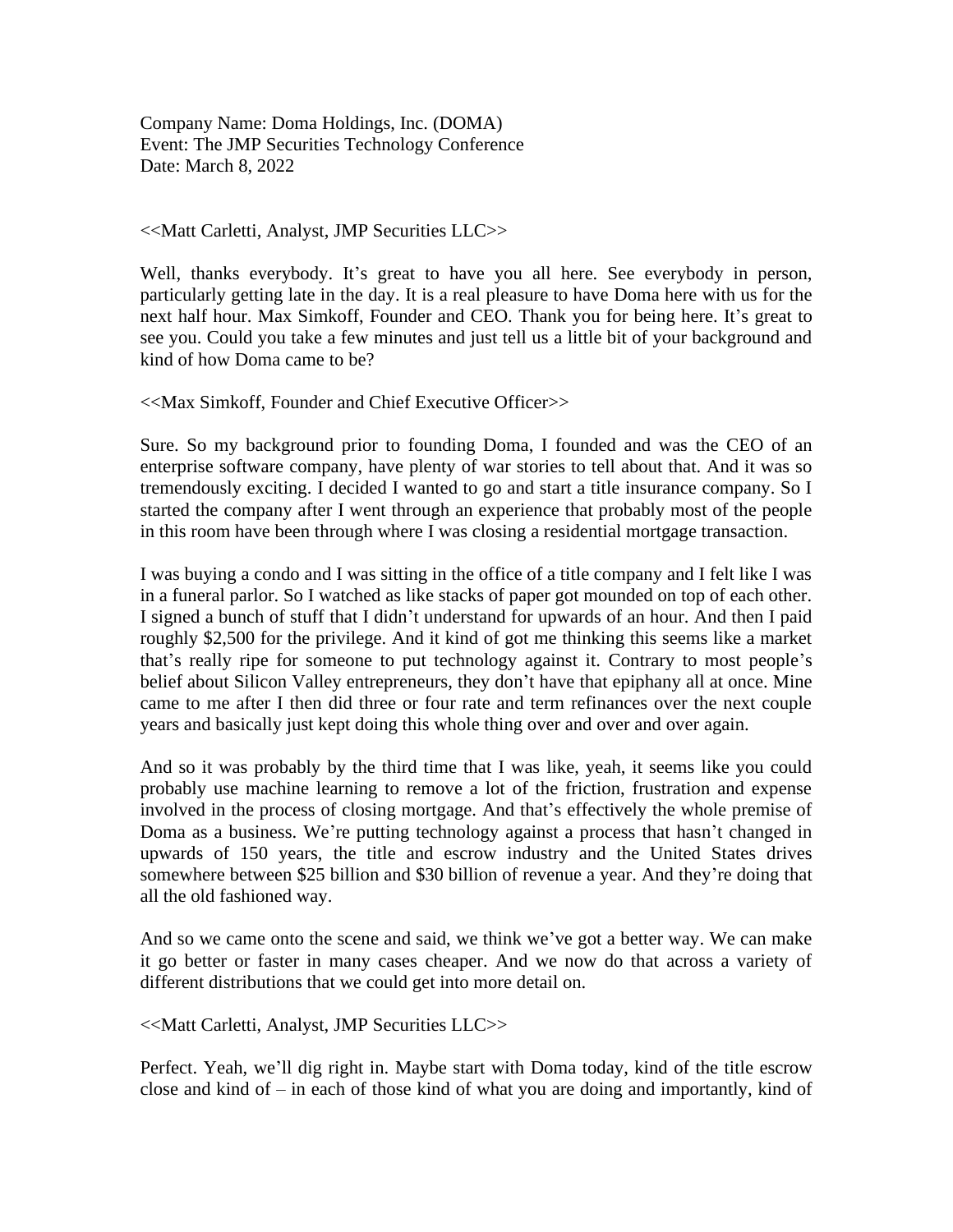Company Name: Doma Holdings, Inc. (DOMA) Event: The JMP Securities Technology Conference Date: March 8, 2022

<<Matt Carletti, Analyst, JMP Securities LLC>>

Well, thanks everybody. It's great to have you all here. See everybody in person, particularly getting late in the day. It is a real pleasure to have Doma here with us for the next half hour. Max Simkoff, Founder and CEO. Thank you for being here. It's great to see you. Could you take a few minutes and just tell us a little bit of your background and kind of how Doma came to be?

<<Max Simkoff, Founder and Chief Executive Officer>>

Sure. So my background prior to founding Doma, I founded and was the CEO of an enterprise software company, have plenty of war stories to tell about that. And it was so tremendously exciting. I decided I wanted to go and start a title insurance company. So I started the company after I went through an experience that probably most of the people in this room have been through where I was closing a residential mortgage transaction.

I was buying a condo and I was sitting in the office of a title company and I felt like I was in a funeral parlor. So I watched as like stacks of paper got mounded on top of each other. I signed a bunch of stuff that I didn't understand for upwards of an hour. And then I paid roughly \$2,500 for the privilege. And it kind of got me thinking this seems like a market that's really ripe for someone to put technology against it. Contrary to most people's belief about Silicon Valley entrepreneurs, they don't have that epiphany all at once. Mine came to me after I then did three or four rate and term refinances over the next couple years and basically just kept doing this whole thing over and over and over again.

And so it was probably by the third time that I was like, yeah, it seems like you could probably use machine learning to remove a lot of the friction, frustration and expense involved in the process of closing mortgage. And that's effectively the whole premise of Doma as a business. We're putting technology against a process that hasn't changed in upwards of 150 years, the title and escrow industry and the United States drives somewhere between \$25 billion and \$30 billion of revenue a year. And they're doing that all the old fashioned way.

And so we came onto the scene and said, we think we've got a better way. We can make it go better or faster in many cases cheaper. And we now do that across a variety of different distributions that we could get into more detail on.

<<Matt Carletti, Analyst, JMP Securities LLC>>

Perfect. Yeah, we'll dig right in. Maybe start with Doma today, kind of the title escrow close and kind of – in each of those kind of what you are doing and importantly, kind of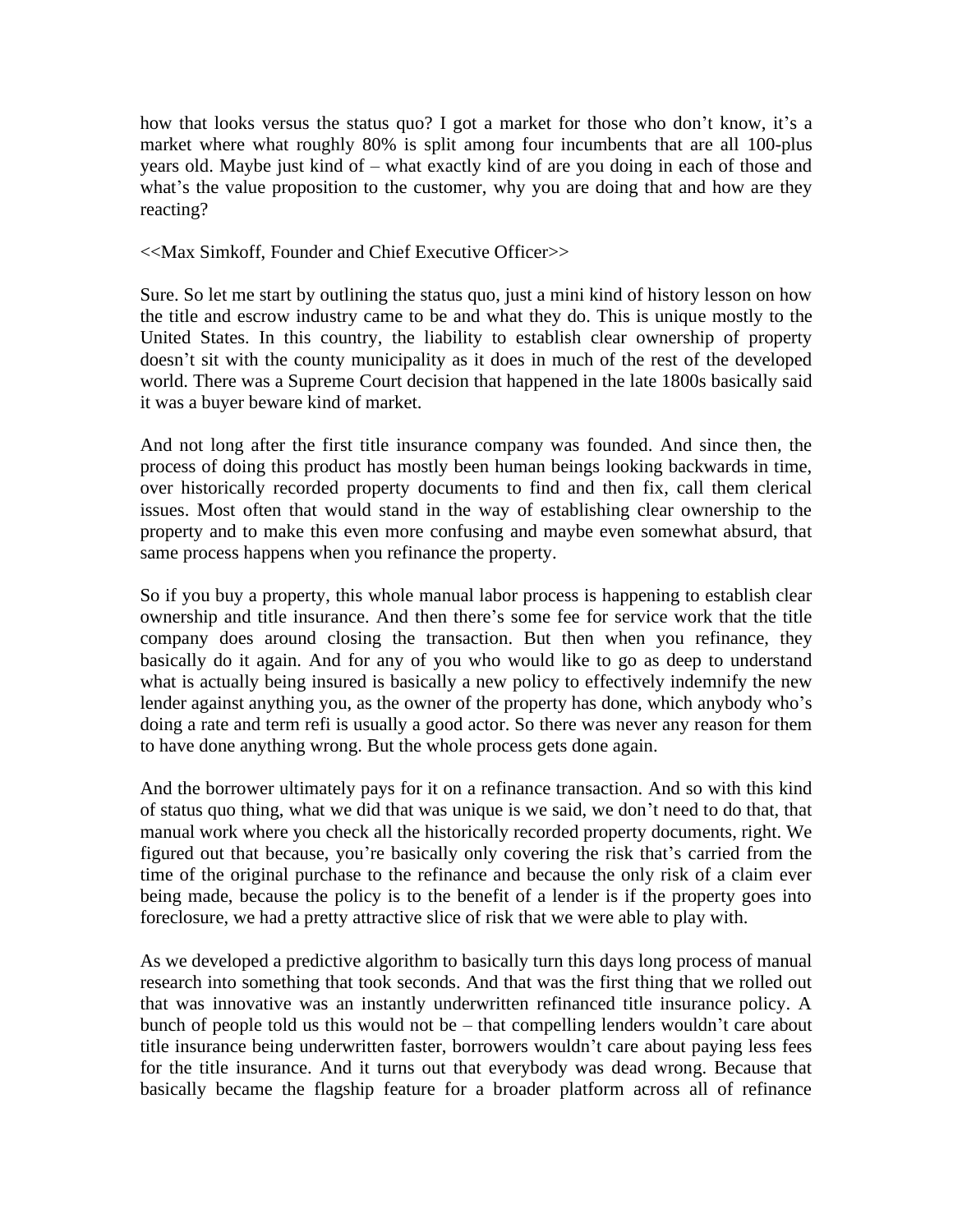how that looks versus the status quo? I got a market for those who don't know, it's a market where what roughly 80% is split among four incumbents that are all 100-plus years old. Maybe just kind of – what exactly kind of are you doing in each of those and what's the value proposition to the customer, why you are doing that and how are they reacting?

<<Max Simkoff, Founder and Chief Executive Officer>>

Sure. So let me start by outlining the status quo, just a mini kind of history lesson on how the title and escrow industry came to be and what they do. This is unique mostly to the United States. In this country, the liability to establish clear ownership of property doesn't sit with the county municipality as it does in much of the rest of the developed world. There was a Supreme Court decision that happened in the late 1800s basically said it was a buyer beware kind of market.

And not long after the first title insurance company was founded. And since then, the process of doing this product has mostly been human beings looking backwards in time, over historically recorded property documents to find and then fix, call them clerical issues. Most often that would stand in the way of establishing clear ownership to the property and to make this even more confusing and maybe even somewhat absurd, that same process happens when you refinance the property.

So if you buy a property, this whole manual labor process is happening to establish clear ownership and title insurance. And then there's some fee for service work that the title company does around closing the transaction. But then when you refinance, they basically do it again. And for any of you who would like to go as deep to understand what is actually being insured is basically a new policy to effectively indemnify the new lender against anything you, as the owner of the property has done, which anybody who's doing a rate and term refi is usually a good actor. So there was never any reason for them to have done anything wrong. But the whole process gets done again.

And the borrower ultimately pays for it on a refinance transaction. And so with this kind of status quo thing, what we did that was unique is we said, we don't need to do that, that manual work where you check all the historically recorded property documents, right. We figured out that because, you're basically only covering the risk that's carried from the time of the original purchase to the refinance and because the only risk of a claim ever being made, because the policy is to the benefit of a lender is if the property goes into foreclosure, we had a pretty attractive slice of risk that we were able to play with.

As we developed a predictive algorithm to basically turn this days long process of manual research into something that took seconds. And that was the first thing that we rolled out that was innovative was an instantly underwritten refinanced title insurance policy. A bunch of people told us this would not be – that compelling lenders wouldn't care about title insurance being underwritten faster, borrowers wouldn't care about paying less fees for the title insurance. And it turns out that everybody was dead wrong. Because that basically became the flagship feature for a broader platform across all of refinance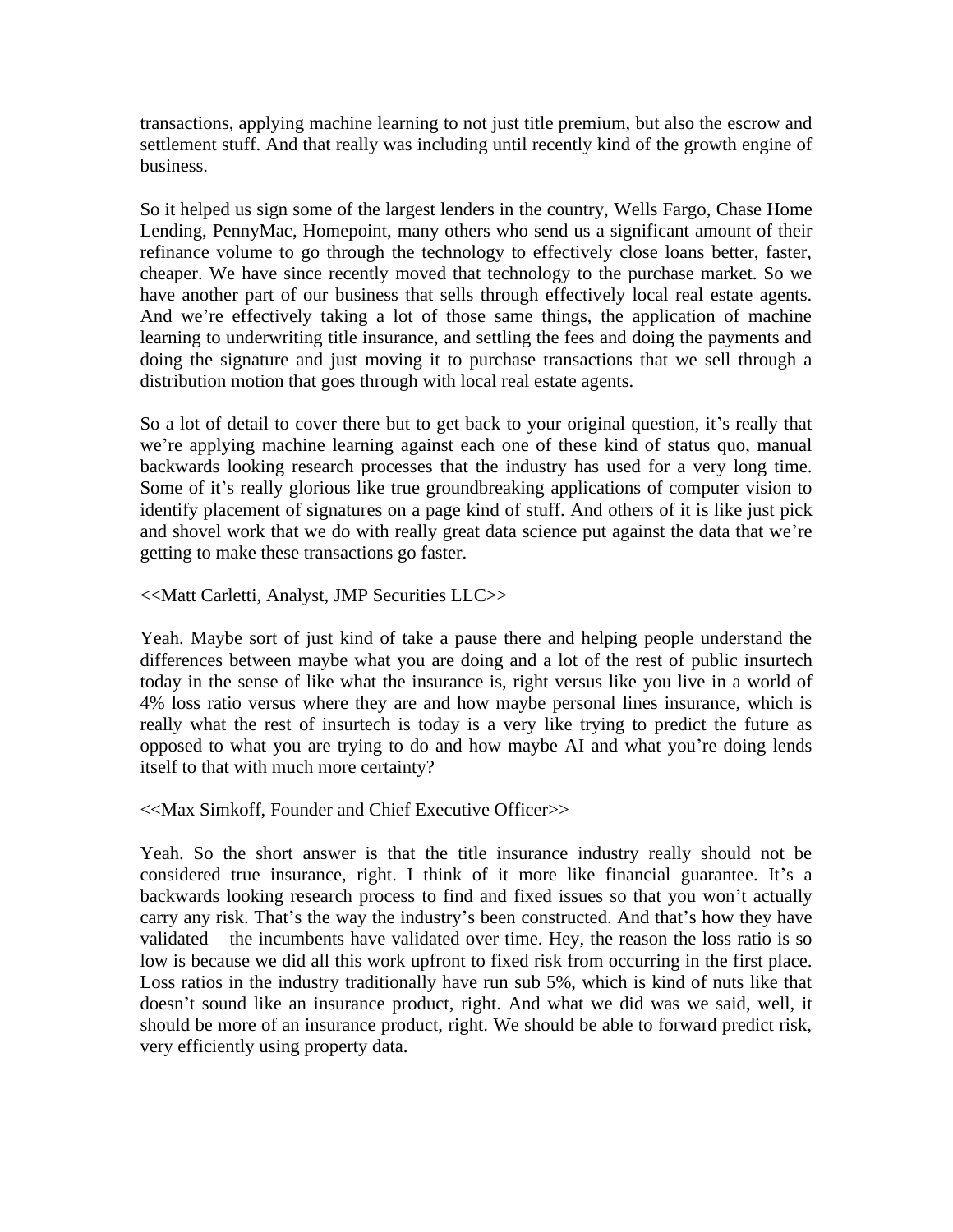transactions, applying machine learning to not just title premium, but also the escrow and settlement stuff. And that really was including until recently kind of the growth engine of business.

So it helped us sign some of the largest lenders in the country, Wells Fargo, Chase Home Lending, PennyMac, Homepoint, many others who send us a significant amount of their refinance volume to go through the technology to effectively close loans better, faster, cheaper. We have since recently moved that technology to the purchase market. So we have another part of our business that sells through effectively local real estate agents. And we're effectively taking a lot of those same things, the application of machine learning to underwriting title insurance, and settling the fees and doing the payments and doing the signature and just moving it to purchase transactions that we sell through a distribution motion that goes through with local real estate agents.

So a lot of detail to cover there but to get back to your original question, it's really that we're applying machine learning against each one of these kind of status quo, manual backwards looking research processes that the industry has used for a very long time. Some of it's really glorious like true groundbreaking applications of computer vision to identify placement of signatures on a page kind of stuff. And others of it is like just pick and shovel work that we do with really great data science put against the data that we're getting to make these transactions go faster.

<<Matt Carletti, Analyst, JMP Securities LLC>>

Yeah. Maybe sort of just kind of take a pause there and helping people understand the differences between maybe what you are doing and a lot of the rest of public insurtech today in the sense of like what the insurance is, right versus like you live in a world of 4% loss ratio versus where they are and how maybe personal lines insurance, which is really what the rest of insurtech is today is a very like trying to predict the future as opposed to what you are trying to do and how maybe AI and what you're doing lends itself to that with much more certainty?

<<Max Simkoff, Founder and Chief Executive Officer>>

Yeah. So the short answer is that the title insurance industry really should not be considered true insurance, right. I think of it more like financial guarantee. It's a backwards looking research process to find and fixed issues so that you won't actually carry any risk. That's the way the industry's been constructed. And that's how they have validated – the incumbents have validated over time. Hey, the reason the loss ratio is so low is because we did all this work upfront to fixed risk from occurring in the first place. Loss ratios in the industry traditionally have run sub 5%, which is kind of nuts like that doesn't sound like an insurance product, right. And what we did was we said, well, it should be more of an insurance product, right. We should be able to forward predict risk, very efficiently using property data.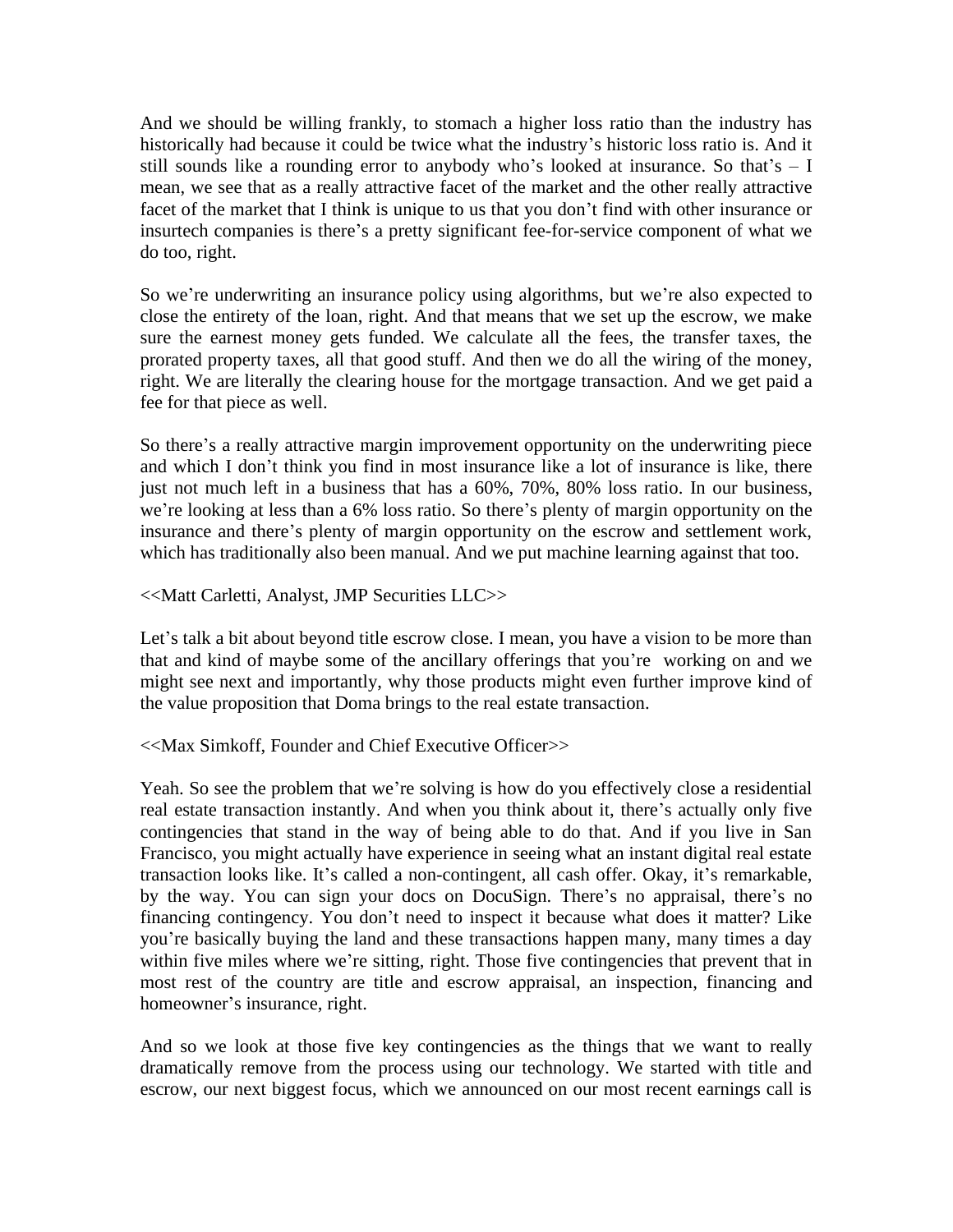And we should be willing frankly, to stomach a higher loss ratio than the industry has historically had because it could be twice what the industry's historic loss ratio is. And it still sounds like a rounding error to anybody who's looked at insurance. So that's – I mean, we see that as a really attractive facet of the market and the other really attractive facet of the market that I think is unique to us that you don't find with other insurance or insurtech companies is there's a pretty significant fee-for-service component of what we do too, right.

So we're underwriting an insurance policy using algorithms, but we're also expected to close the entirety of the loan, right. And that means that we set up the escrow, we make sure the earnest money gets funded. We calculate all the fees, the transfer taxes, the prorated property taxes, all that good stuff. And then we do all the wiring of the money, right. We are literally the clearing house for the mortgage transaction. And we get paid a fee for that piece as well.

So there's a really attractive margin improvement opportunity on the underwriting piece and which I don't think you find in most insurance like a lot of insurance is like, there just not much left in a business that has a 60%, 70%, 80% loss ratio. In our business, we're looking at less than a 6% loss ratio. So there's plenty of margin opportunity on the insurance and there's plenty of margin opportunity on the escrow and settlement work, which has traditionally also been manual. And we put machine learning against that too.

<<Matt Carletti, Analyst, JMP Securities LLC>>

Let's talk a bit about beyond title escrow close. I mean, you have a vision to be more than that and kind of maybe some of the ancillary offerings that you're working on and we might see next and importantly, why those products might even further improve kind of the value proposition that Doma brings to the real estate transaction.

<<Max Simkoff, Founder and Chief Executive Officer>>

Yeah. So see the problem that we're solving is how do you effectively close a residential real estate transaction instantly. And when you think about it, there's actually only five contingencies that stand in the way of being able to do that. And if you live in San Francisco, you might actually have experience in seeing what an instant digital real estate transaction looks like. It's called a non-contingent, all cash offer. Okay, it's remarkable, by the way. You can sign your docs on DocuSign. There's no appraisal, there's no financing contingency. You don't need to inspect it because what does it matter? Like you're basically buying the land and these transactions happen many, many times a day within five miles where we're sitting, right. Those five contingencies that prevent that in most rest of the country are title and escrow appraisal, an inspection, financing and homeowner's insurance, right.

And so we look at those five key contingencies as the things that we want to really dramatically remove from the process using our technology. We started with title and escrow, our next biggest focus, which we announced on our most recent earnings call is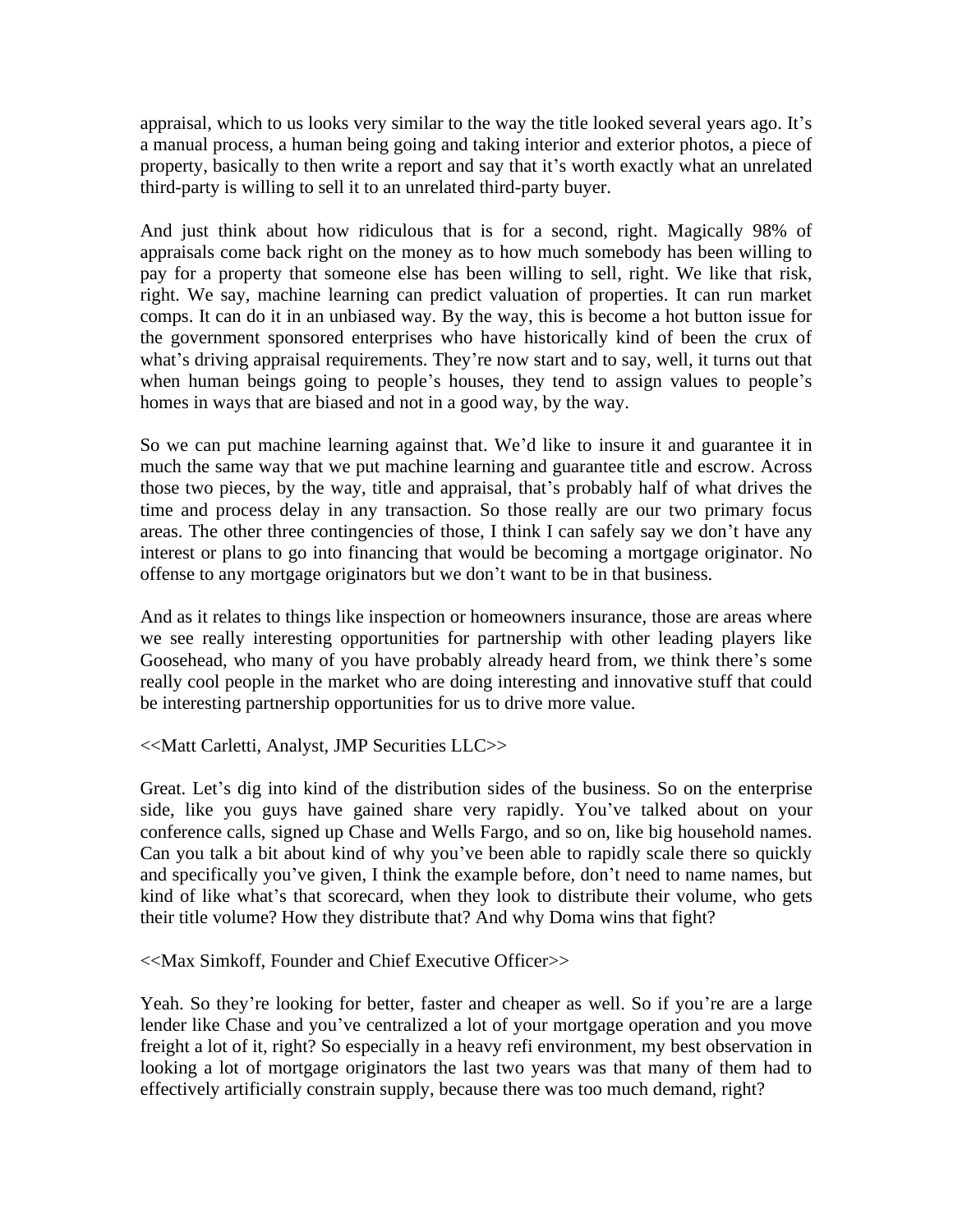appraisal, which to us looks very similar to the way the title looked several years ago. It's a manual process, a human being going and taking interior and exterior photos, a piece of property, basically to then write a report and say that it's worth exactly what an unrelated third-party is willing to sell it to an unrelated third-party buyer.

And just think about how ridiculous that is for a second, right. Magically 98% of appraisals come back right on the money as to how much somebody has been willing to pay for a property that someone else has been willing to sell, right. We like that risk, right. We say, machine learning can predict valuation of properties. It can run market comps. It can do it in an unbiased way. By the way, this is become a hot button issue for the government sponsored enterprises who have historically kind of been the crux of what's driving appraisal requirements. They're now start and to say, well, it turns out that when human beings going to people's houses, they tend to assign values to people's homes in ways that are biased and not in a good way, by the way.

So we can put machine learning against that. We'd like to insure it and guarantee it in much the same way that we put machine learning and guarantee title and escrow. Across those two pieces, by the way, title and appraisal, that's probably half of what drives the time and process delay in any transaction. So those really are our two primary focus areas. The other three contingencies of those, I think I can safely say we don't have any interest or plans to go into financing that would be becoming a mortgage originator. No offense to any mortgage originators but we don't want to be in that business.

And as it relates to things like inspection or homeowners insurance, those are areas where we see really interesting opportunities for partnership with other leading players like Goosehead, who many of you have probably already heard from, we think there's some really cool people in the market who are doing interesting and innovative stuff that could be interesting partnership opportunities for us to drive more value.

## <<Matt Carletti, Analyst, JMP Securities LLC>>

Great. Let's dig into kind of the distribution sides of the business. So on the enterprise side, like you guys have gained share very rapidly. You've talked about on your conference calls, signed up Chase and Wells Fargo, and so on, like big household names. Can you talk a bit about kind of why you've been able to rapidly scale there so quickly and specifically you've given, I think the example before, don't need to name names, but kind of like what's that scorecard, when they look to distribute their volume, who gets their title volume? How they distribute that? And why Doma wins that fight?

## <<Max Simkoff, Founder and Chief Executive Officer>>

Yeah. So they're looking for better, faster and cheaper as well. So if you're are a large lender like Chase and you've centralized a lot of your mortgage operation and you move freight a lot of it, right? So especially in a heavy refi environment, my best observation in looking a lot of mortgage originators the last two years was that many of them had to effectively artificially constrain supply, because there was too much demand, right?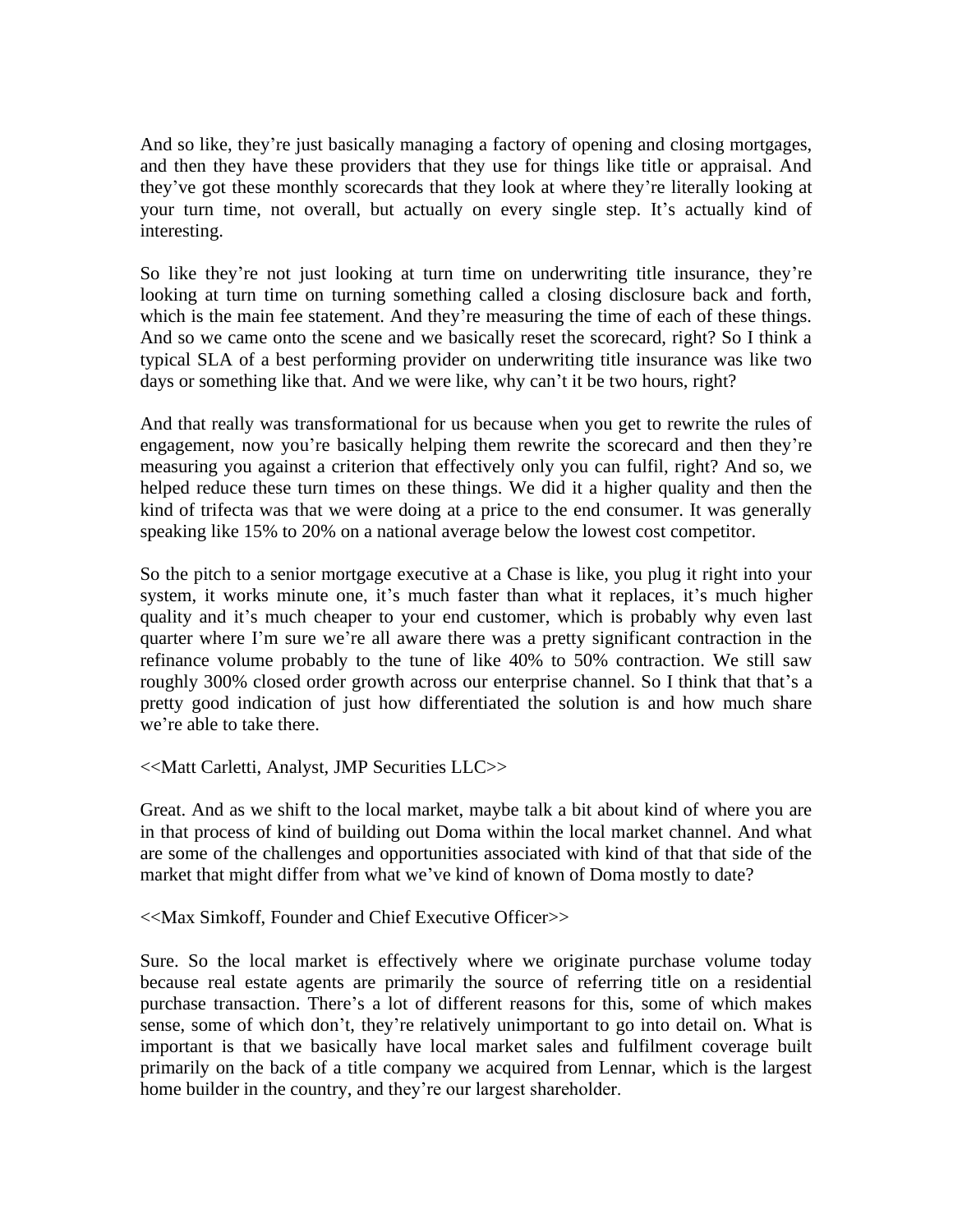And so like, they're just basically managing a factory of opening and closing mortgages, and then they have these providers that they use for things like title or appraisal. And they've got these monthly scorecards that they look at where they're literally looking at your turn time, not overall, but actually on every single step. It's actually kind of interesting.

So like they're not just looking at turn time on underwriting title insurance, they're looking at turn time on turning something called a closing disclosure back and forth, which is the main fee statement. And they're measuring the time of each of these things. And so we came onto the scene and we basically reset the scorecard, right? So I think a typical SLA of a best performing provider on underwriting title insurance was like two days or something like that. And we were like, why can't it be two hours, right?

And that really was transformational for us because when you get to rewrite the rules of engagement, now you're basically helping them rewrite the scorecard and then they're measuring you against a criterion that effectively only you can fulfil, right? And so, we helped reduce these turn times on these things. We did it a higher quality and then the kind of trifecta was that we were doing at a price to the end consumer. It was generally speaking like 15% to 20% on a national average below the lowest cost competitor.

So the pitch to a senior mortgage executive at a Chase is like, you plug it right into your system, it works minute one, it's much faster than what it replaces, it's much higher quality and it's much cheaper to your end customer, which is probably why even last quarter where I'm sure we're all aware there was a pretty significant contraction in the refinance volume probably to the tune of like 40% to 50% contraction. We still saw roughly 300% closed order growth across our enterprise channel. So I think that that's a pretty good indication of just how differentiated the solution is and how much share we're able to take there.

<<Matt Carletti, Analyst, JMP Securities LLC>>

Great. And as we shift to the local market, maybe talk a bit about kind of where you are in that process of kind of building out Doma within the local market channel. And what are some of the challenges and opportunities associated with kind of that that side of the market that might differ from what we've kind of known of Doma mostly to date?

<<Max Simkoff, Founder and Chief Executive Officer>>

Sure. So the local market is effectively where we originate purchase volume today because real estate agents are primarily the source of referring title on a residential purchase transaction. There's a lot of different reasons for this, some of which makes sense, some of which don't, they're relatively unimportant to go into detail on. What is important is that we basically have local market sales and fulfilment coverage built primarily on the back of a title company we acquired from Lennar, which is the largest home builder in the country, and they're our largest shareholder.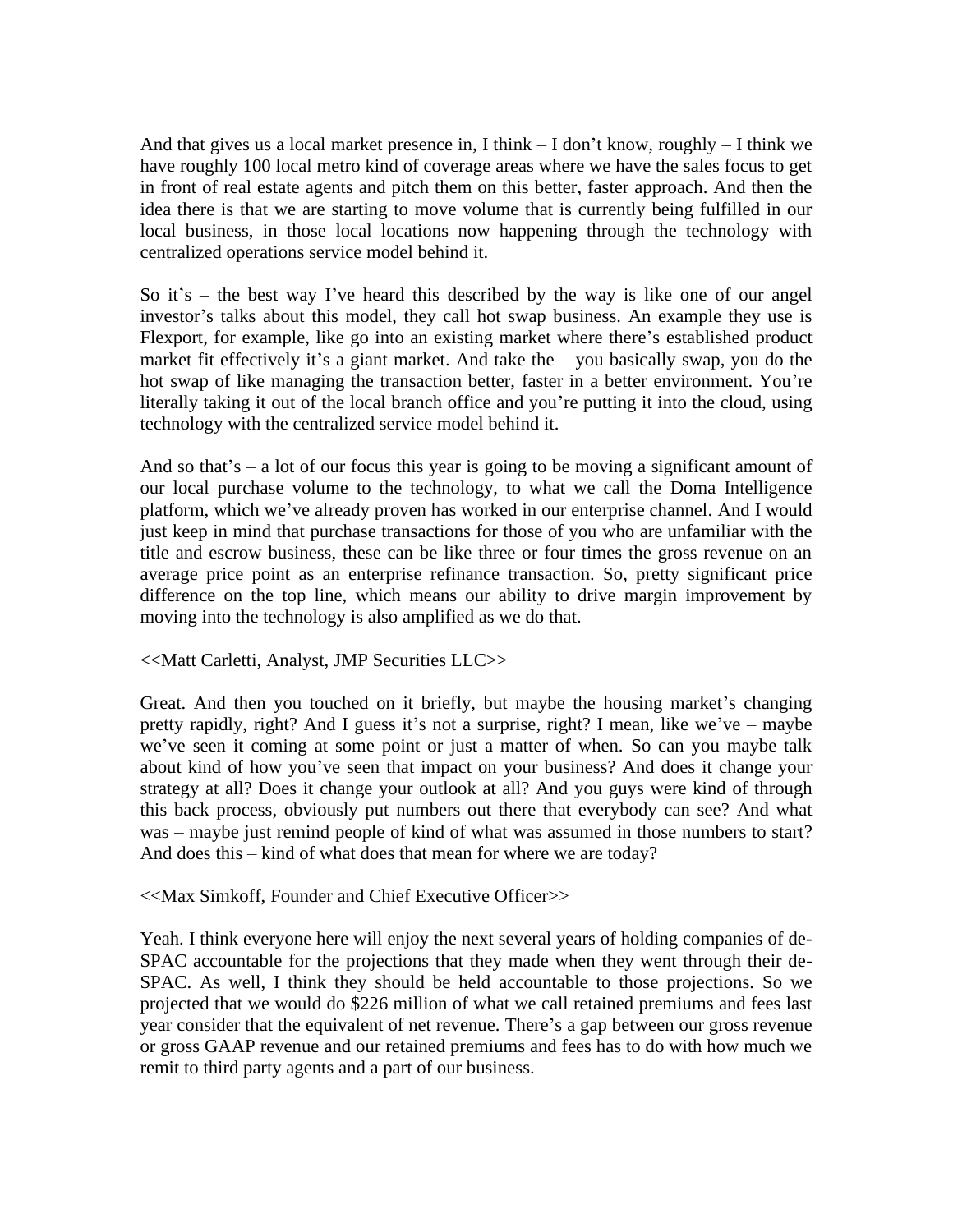And that gives us a local market presence in, I think – I don't know, roughly – I think we have roughly 100 local metro kind of coverage areas where we have the sales focus to get in front of real estate agents and pitch them on this better, faster approach. And then the idea there is that we are starting to move volume that is currently being fulfilled in our local business, in those local locations now happening through the technology with centralized operations service model behind it.

So it's – the best way I've heard this described by the way is like one of our angel investor's talks about this model, they call hot swap business. An example they use is Flexport, for example, like go into an existing market where there's established product market fit effectively it's a giant market. And take the – you basically swap, you do the hot swap of like managing the transaction better, faster in a better environment. You're literally taking it out of the local branch office and you're putting it into the cloud, using technology with the centralized service model behind it.

And so that's – a lot of our focus this year is going to be moving a significant amount of our local purchase volume to the technology, to what we call the Doma Intelligence platform, which we've already proven has worked in our enterprise channel. And I would just keep in mind that purchase transactions for those of you who are unfamiliar with the title and escrow business, these can be like three or four times the gross revenue on an average price point as an enterprise refinance transaction. So, pretty significant price difference on the top line, which means our ability to drive margin improvement by moving into the technology is also amplified as we do that.

## <<Matt Carletti, Analyst, JMP Securities LLC>>

Great. And then you touched on it briefly, but maybe the housing market's changing pretty rapidly, right? And I guess it's not a surprise, right? I mean, like we've – maybe we've seen it coming at some point or just a matter of when. So can you maybe talk about kind of how you've seen that impact on your business? And does it change your strategy at all? Does it change your outlook at all? And you guys were kind of through this back process, obviously put numbers out there that everybody can see? And what was – maybe just remind people of kind of what was assumed in those numbers to start? And does this – kind of what does that mean for where we are today?

## <<Max Simkoff, Founder and Chief Executive Officer>>

Yeah. I think everyone here will enjoy the next several years of holding companies of de-SPAC accountable for the projections that they made when they went through their de-SPAC. As well, I think they should be held accountable to those projections. So we projected that we would do \$226 million of what we call retained premiums and fees last year consider that the equivalent of net revenue. There's a gap between our gross revenue or gross GAAP revenue and our retained premiums and fees has to do with how much we remit to third party agents and a part of our business.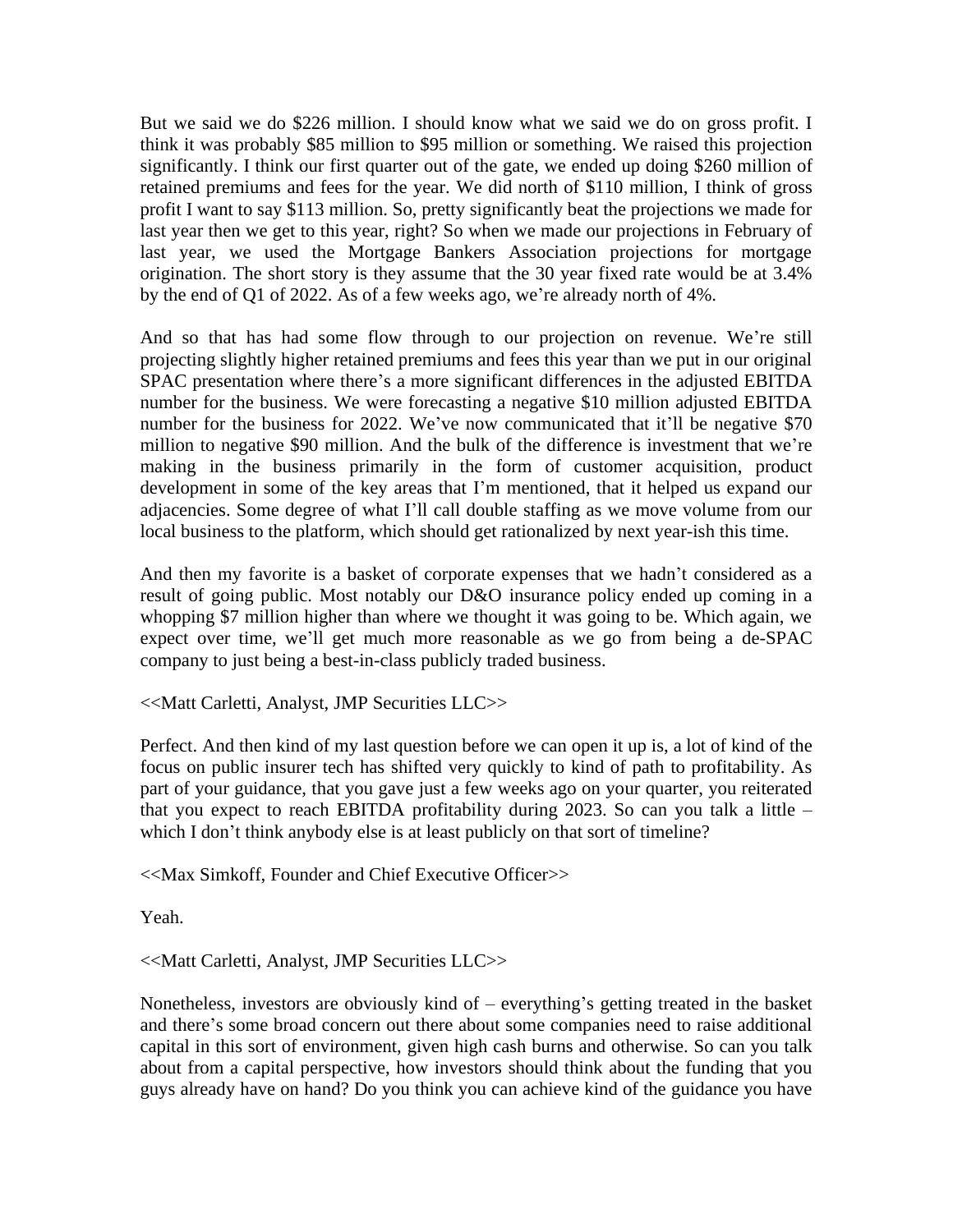But we said we do \$226 million. I should know what we said we do on gross profit. I think it was probably \$85 million to \$95 million or something. We raised this projection significantly. I think our first quarter out of the gate, we ended up doing \$260 million of retained premiums and fees for the year. We did north of \$110 million, I think of gross profit I want to say \$113 million. So, pretty significantly beat the projections we made for last year then we get to this year, right? So when we made our projections in February of last year, we used the Mortgage Bankers Association projections for mortgage origination. The short story is they assume that the 30 year fixed rate would be at 3.4% by the end of Q1 of 2022. As of a few weeks ago, we're already north of 4%.

And so that has had some flow through to our projection on revenue. We're still projecting slightly higher retained premiums and fees this year than we put in our original SPAC presentation where there's a more significant differences in the adjusted EBITDA number for the business. We were forecasting a negative \$10 million adjusted EBITDA number for the business for 2022. We've now communicated that it'll be negative \$70 million to negative \$90 million. And the bulk of the difference is investment that we're making in the business primarily in the form of customer acquisition, product development in some of the key areas that I'm mentioned, that it helped us expand our adjacencies. Some degree of what I'll call double staffing as we move volume from our local business to the platform, which should get rationalized by next year-ish this time.

And then my favorite is a basket of corporate expenses that we hadn't considered as a result of going public. Most notably our D&O insurance policy ended up coming in a whopping \$7 million higher than where we thought it was going to be. Which again, we expect over time, we'll get much more reasonable as we go from being a de-SPAC company to just being a best-in-class publicly traded business.

<<Matt Carletti, Analyst, JMP Securities LLC>>

Perfect. And then kind of my last question before we can open it up is, a lot of kind of the focus on public insurer tech has shifted very quickly to kind of path to profitability. As part of your guidance, that you gave just a few weeks ago on your quarter, you reiterated that you expect to reach EBITDA profitability during 2023. So can you talk a little – which I don't think anybody else is at least publicly on that sort of timeline?

<<Max Simkoff, Founder and Chief Executive Officer>>

Yeah.

<<Matt Carletti, Analyst, JMP Securities LLC>>

Nonetheless, investors are obviously kind of – everything's getting treated in the basket and there's some broad concern out there about some companies need to raise additional capital in this sort of environment, given high cash burns and otherwise. So can you talk about from a capital perspective, how investors should think about the funding that you guys already have on hand? Do you think you can achieve kind of the guidance you have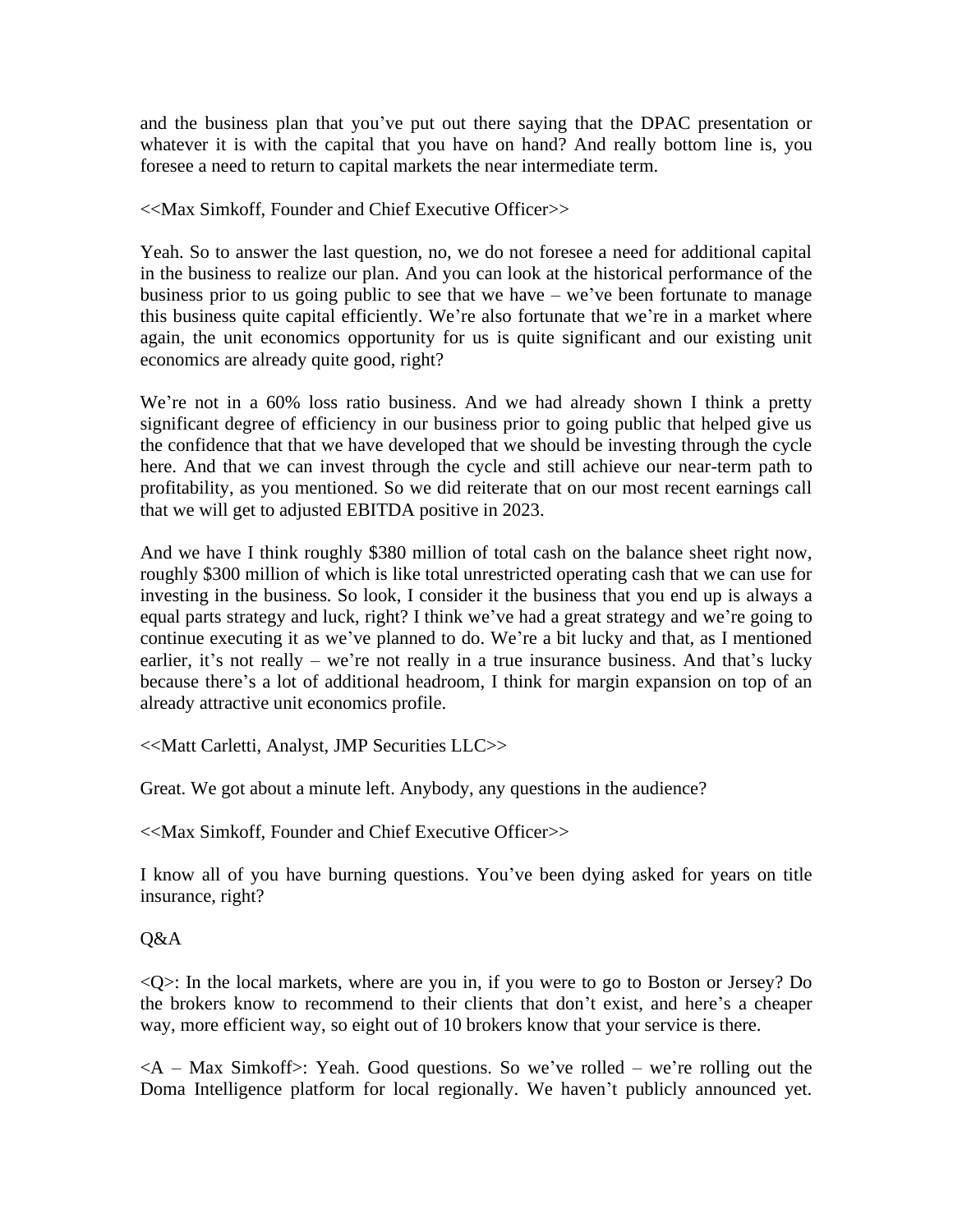and the business plan that you've put out there saying that the DPAC presentation or whatever it is with the capital that you have on hand? And really bottom line is, you foresee a need to return to capital markets the near intermediate term.

<<Max Simkoff, Founder and Chief Executive Officer>>

Yeah. So to answer the last question, no, we do not foresee a need for additional capital in the business to realize our plan. And you can look at the historical performance of the business prior to us going public to see that we have – we've been fortunate to manage this business quite capital efficiently. We're also fortunate that we're in a market where again, the unit economics opportunity for us is quite significant and our existing unit economics are already quite good, right?

We're not in a 60% loss ratio business. And we had already shown I think a pretty significant degree of efficiency in our business prior to going public that helped give us the confidence that that we have developed that we should be investing through the cycle here. And that we can invest through the cycle and still achieve our near-term path to profitability, as you mentioned. So we did reiterate that on our most recent earnings call that we will get to adjusted EBITDA positive in 2023.

And we have I think roughly \$380 million of total cash on the balance sheet right now, roughly \$300 million of which is like total unrestricted operating cash that we can use for investing in the business. So look, I consider it the business that you end up is always a equal parts strategy and luck, right? I think we've had a great strategy and we're going to continue executing it as we've planned to do. We're a bit lucky and that, as I mentioned earlier, it's not really – we're not really in a true insurance business. And that's lucky because there's a lot of additional headroom, I think for margin expansion on top of an already attractive unit economics profile.

<<Matt Carletti, Analyst, JMP Securities LLC>>

Great. We got about a minute left. Anybody, any questions in the audience?

<<Max Simkoff, Founder and Chief Executive Officer>>

I know all of you have burning questions. You've been dying asked for years on title insurance, right?

Q&A

<Q>: In the local markets, where are you in, if you were to go to Boston or Jersey? Do the brokers know to recommend to their clients that don't exist, and here's a cheaper way, more efficient way, so eight out of 10 brokers know that your service is there.

 $\langle A - \text{Max Simkoff} \rangle$ : Yeah. Good questions. So we've rolled – we're rolling out the Doma Intelligence platform for local regionally. We haven't publicly announced yet.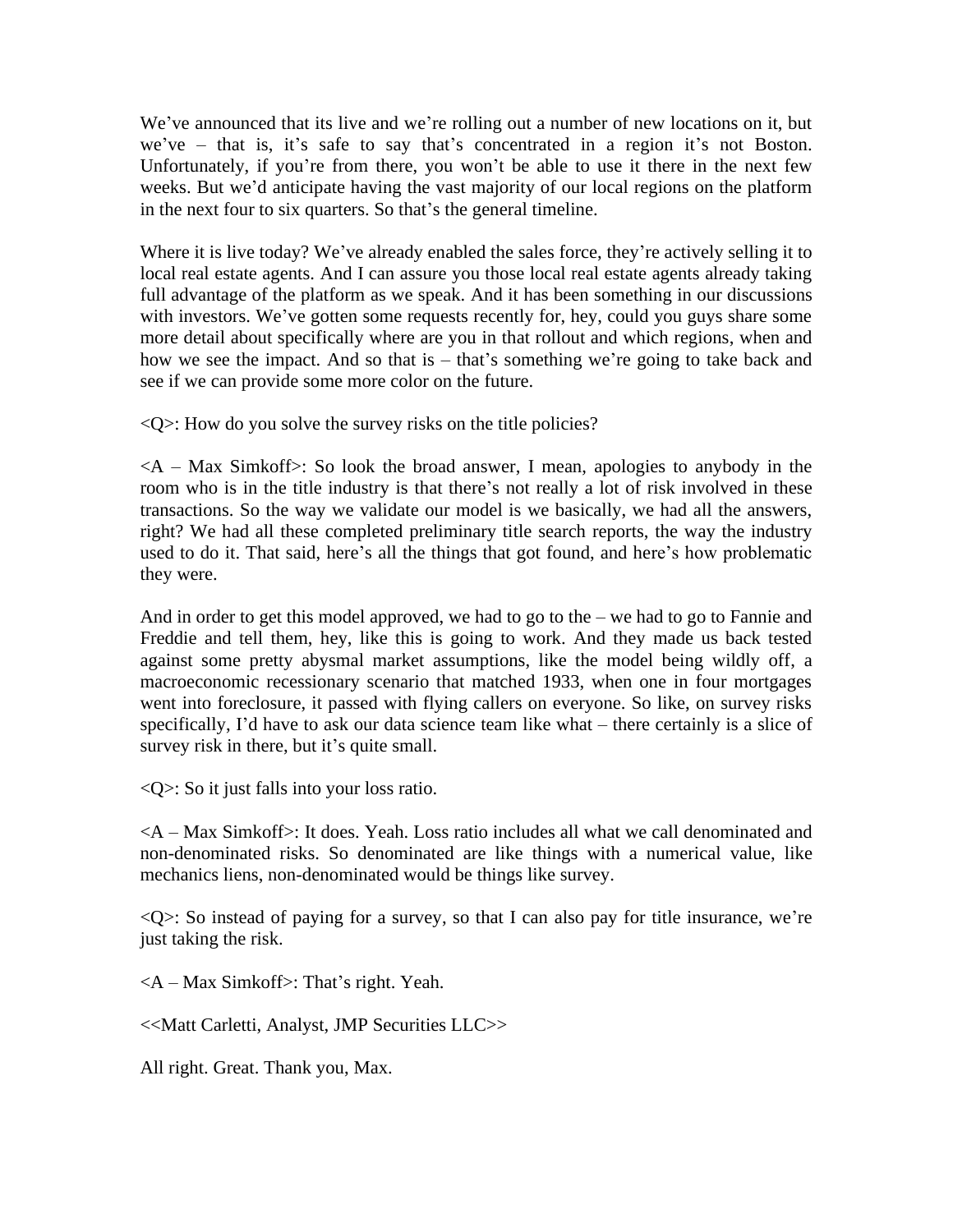We've announced that its live and we're rolling out a number of new locations on it, but we've – that is, it's safe to say that's concentrated in a region it's not Boston. Unfortunately, if you're from there, you won't be able to use it there in the next few weeks. But we'd anticipate having the vast majority of our local regions on the platform in the next four to six quarters. So that's the general timeline.

Where it is live today? We've already enabled the sales force, they're actively selling it to local real estate agents. And I can assure you those local real estate agents already taking full advantage of the platform as we speak. And it has been something in our discussions with investors. We've gotten some requests recently for, hey, could you guys share some more detail about specifically where are you in that rollout and which regions, when and how we see the impact. And so that is – that's something we're going to take back and see if we can provide some more color on the future.

 $Q$ : How do you solve the survey risks on the title policies?

 $\leq$ A – Max Simkoff $\geq$ : So look the broad answer, I mean, apologies to anybody in the room who is in the title industry is that there's not really a lot of risk involved in these transactions. So the way we validate our model is we basically, we had all the answers, right? We had all these completed preliminary title search reports, the way the industry used to do it. That said, here's all the things that got found, and here's how problematic they were.

And in order to get this model approved, we had to go to the – we had to go to Fannie and Freddie and tell them, hey, like this is going to work. And they made us back tested against some pretty abysmal market assumptions, like the model being wildly off, a macroeconomic recessionary scenario that matched 1933, when one in four mortgages went into foreclosure, it passed with flying callers on everyone. So like, on survey risks specifically, I'd have to ask our data science team like what – there certainly is a slice of survey risk in there, but it's quite small.

<Q>: So it just falls into your loss ratio.

<A – Max Simkoff>: It does. Yeah. Loss ratio includes all what we call denominated and non-denominated risks. So denominated are like things with a numerical value, like mechanics liens, non-denominated would be things like survey.

 $\langle Q \rangle$ : So instead of paying for a survey, so that I can also pay for title insurance, we're just taking the risk.

<A – Max Simkoff>: That's right. Yeah.

<<Matt Carletti, Analyst, JMP Securities LLC>>

All right. Great. Thank you, Max.